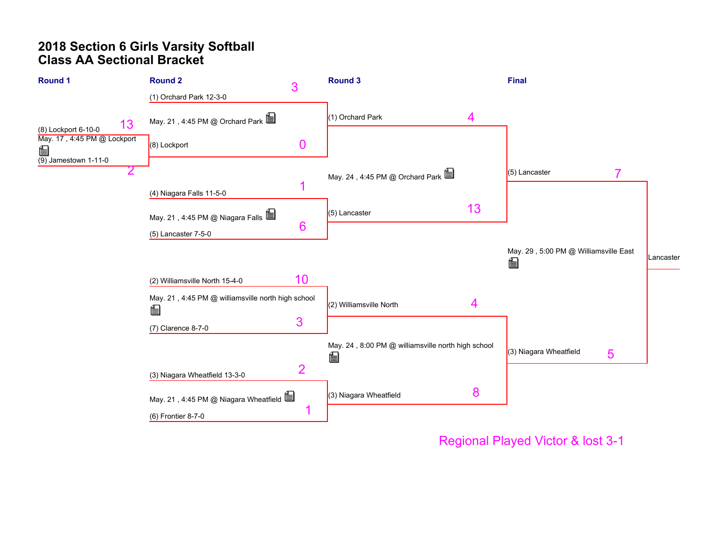# **2018 Section 6 Girls Varsity Softball Class AA Sectional Bracket**



Regional Played Victor & lost 3-1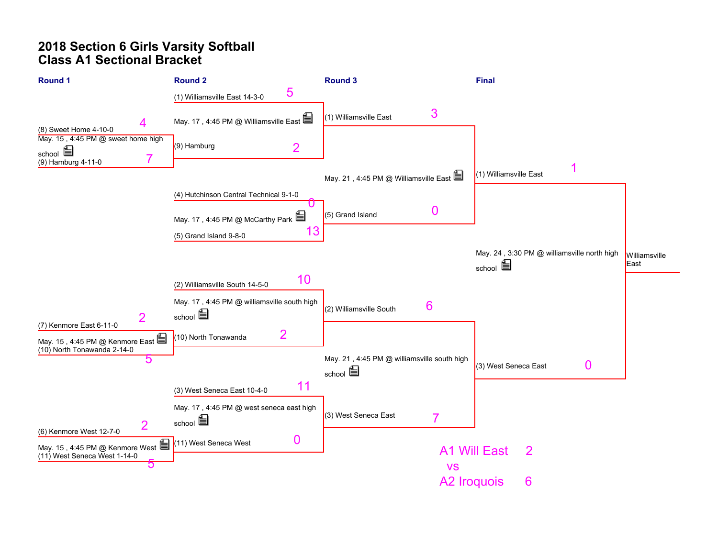# **2018 Section 6 Girls Varsity Softball Class A1 Sectional Bracket**

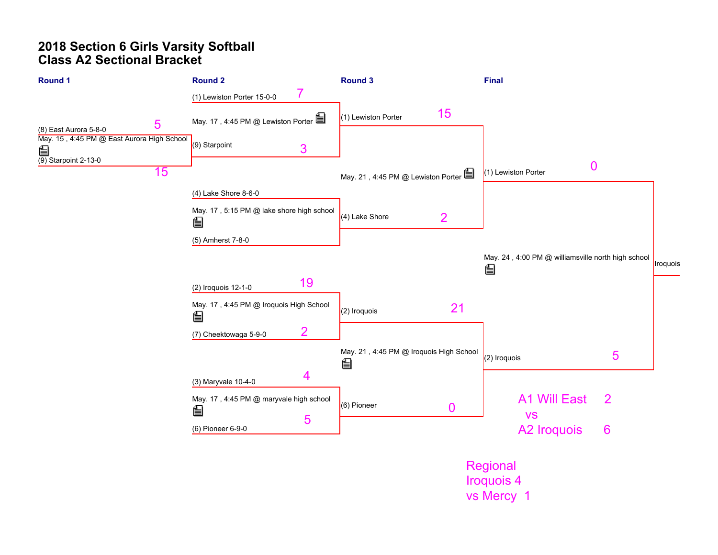# **2018 Section 6 Girls Varsity Softball Class A2 Sectional Bracket**

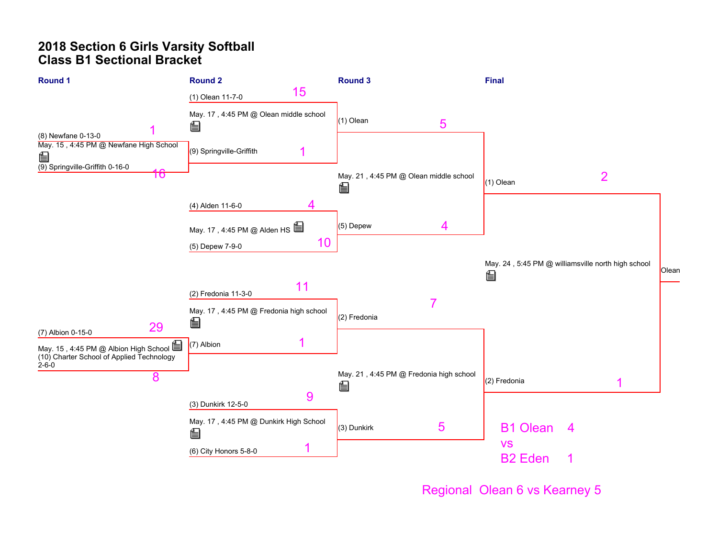# **2018 Section 6 Girls Varsity Softball Class B1 Sectional Bracket**



Regional Olean 6 vs Kearney 5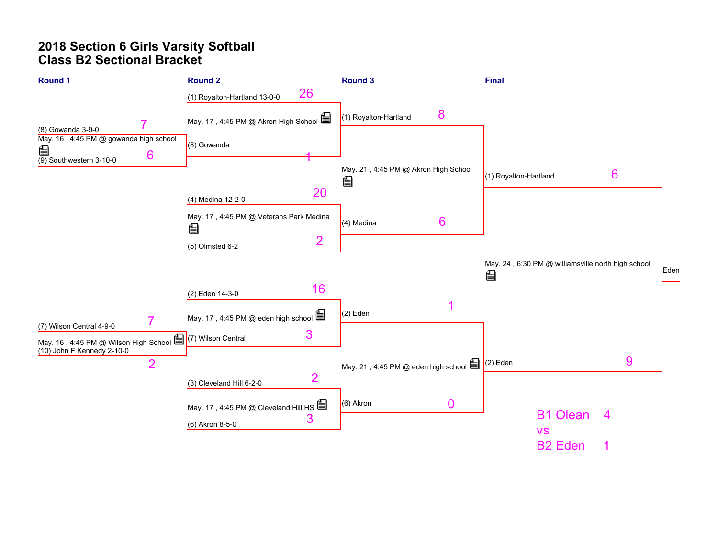# **2018 Section 6 Girls Varsity Softball Class B2 Sectional Bracket**

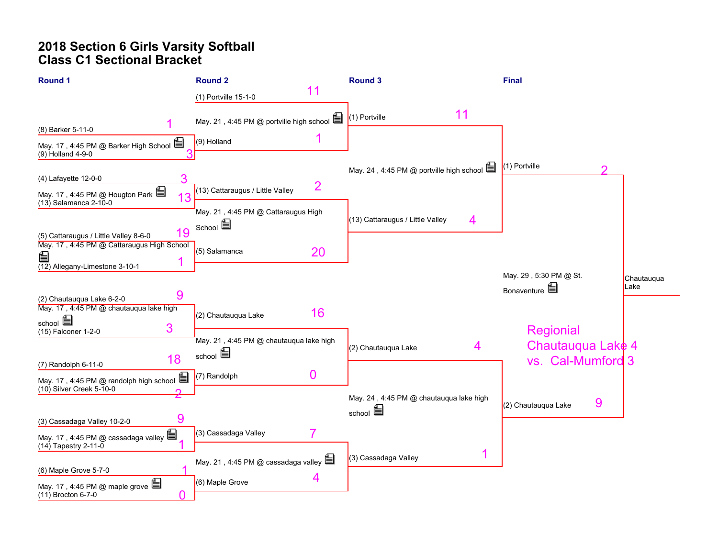# **2018 Section 6 Girls Varsity Softball Class C1 Sectional Bracket**